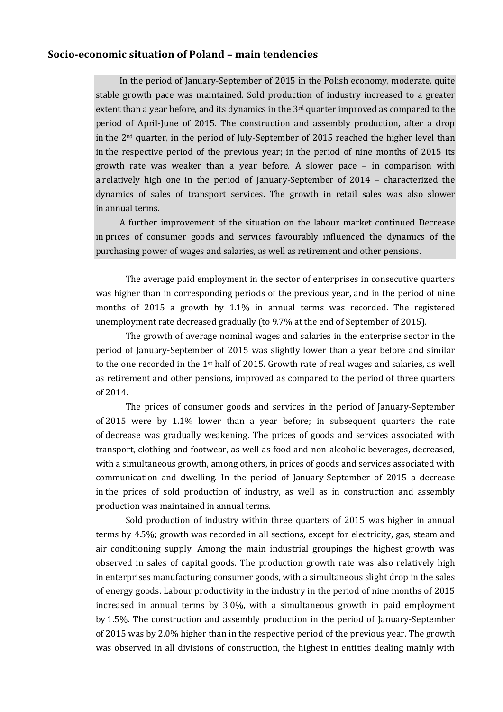## **Socio-economic situation of Poland – main tendencies**

In the period of January-September of 2015 in the Polish economy, moderate, quite stable growth pace was maintained. Sold production of industry increased to a greater extent than a year before, and its dynamics in the 3rd quarter improved as compared to the period of April-June of 2015. The construction and assembly production, after a drop in the  $2<sup>nd</sup>$  quarter, in the period of July-September of 2015 reached the higher level than in the respective period of the previous year; in the period of nine months of 2015 its growth rate was weaker than a year before. A slower pace – in comparison with a relatively high one in the period of January-September of 2014 – characterized the dynamics of sales of transport services. The growth in retail sales was also slower in annual terms.

A further improvement of the situation on the labour market continued Decrease in prices of consumer goods and services favourably influenced the dynamics of the purchasing power of wages and salaries, as well as retirement and other pensions.

The average paid employment in the sector of enterprises in consecutive quarters was higher than in corresponding periods of the previous year, and in the period of nine months of 2015 a growth by 1.1% in annual terms was recorded. The registered unemployment rate decreased gradually (to 9.7% at the end of September of 2015).

The growth of average nominal wages and salaries in the enterprise sector in the period of January-September of 2015 was slightly lower than a year before and similar to the one recorded in the 1st half of 2015. Growth rate of real wages and salaries, as well as retirement and other pensions, improved as compared to the period of three quarters of 2014.

The prices of consumer goods and services in the period of January-September of 2015 were by 1.1% lower than a year before; in subsequent quarters the rate of decrease was gradually weakening. The prices of goods and services associated with transport, clothing and footwear, as well as food and non-alcoholic beverages, decreased, with a simultaneous growth, among others, in prices of goods and services associated with communication and dwelling. In the period of January-September of 2015 a decrease in the prices of sold production of industry, as well as in construction and assembly production was maintained in annual terms.

Sold production of industry within three quarters of 2015 was higher in annual terms by 4.5%; growth was recorded in all sections, except for electricity, gas, steam and air conditioning supply. Among the main industrial groupings the highest growth was observed in sales of capital goods. The production growth rate was also relatively high in enterprises manufacturing consumer goods, with a simultaneous slight drop in the sales of energy goods. Labour productivity in the industry in the period of nine months of 2015 increased in annual terms by 3.0%, with a simultaneous growth in paid employment by 1.5%. The construction and assembly production in the period of January-September of 2015 was by 2.0% higher than in the respective period of the previous year. The growth was observed in all divisions of construction, the highest in entities dealing mainly with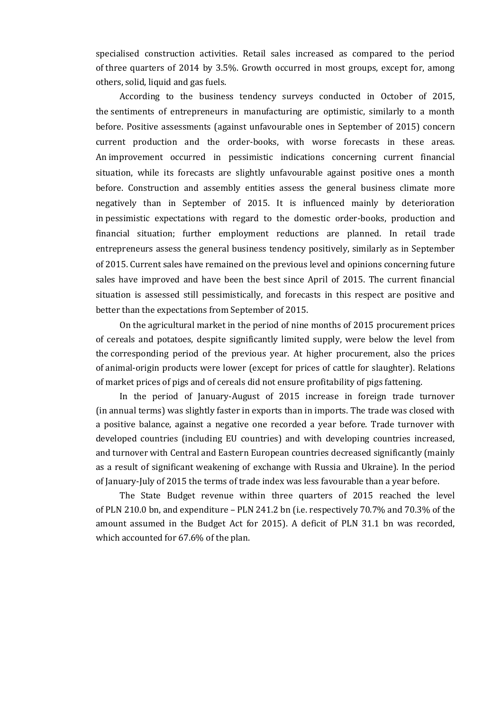specialised construction activities. Retail sales increased as compared to the period of three quarters of 2014 by 3.5%. Growth occurred in most groups, except for, among others, solid, liquid and gas fuels.

According to the business tendency surveys conducted in October of 2015, the sentiments of entrepreneurs in manufacturing are optimistic, similarly to a month before. Positive assessments (against unfavourable ones in September of 2015) concern current production and the order-books, with worse forecasts in these areas. An improvement occurred in pessimistic indications concerning current financial situation, while its forecasts are slightly unfavourable against positive ones a month before. Construction and assembly entities assess the general business climate more negatively than in September of 2015. It is influenced mainly by deterioration in pessimistic expectations with regard to the domestic order-books, production and financial situation; further employment reductions are planned. In retail trade entrepreneurs assess the general business tendency positively, similarly as in September of 2015. Current sales have remained on the previous level and opinions concerning future sales have improved and have been the best since April of 2015. The current financial situation is assessed still pessimistically, and forecasts in this respect are positive and better than the expectations from September of 2015.

On the agricultural market in the period of nine months of 2015 procurement prices of cereals and potatoes, despite significantly limited supply, were below the level from the corresponding period of the previous year. At higher procurement, also the prices of animal-origin products were lower (except for prices of cattle for slaughter). Relations of market prices of pigs and of cereals did not ensure profitability of pigs fattening.

In the period of January-August of 2015 increase in foreign trade turnover (in annual terms) was slightly faster in exports than in imports. The trade was closed with a positive balance, against a negative one recorded a year before. Trade turnover with developed countries (including EU countries) and with developing countries increased, and turnover with Central and Eastern European countries decreased significantly (mainly as a result of significant weakening of exchange with Russia and Ukraine). In the period of January-July of 2015 the terms of trade index was less favourable than a year before.

The State Budget revenue within three quarters of 2015 reached the level of PLN 210.0 bn, and expenditure – PLN 241.2 bn (i.e. respectively 70.7% and 70.3% of the amount assumed in the Budget Act for 2015). A deficit of PLN 31.1 bn was recorded, which accounted for 67.6% of the plan.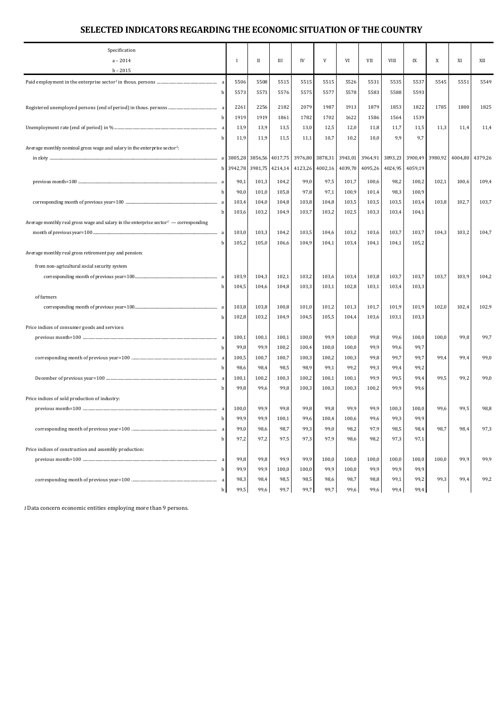## **SELECTED INDICATORS REGARDING THE ECONOMIC SITUATION OF THE COUNTRY**

| Specification<br>$a - 2014$                                                                |   | $\bf{I}$ | П       | Ш               | IV      | V       | VI      | VII     | VIII    | IX      | X       | XI    | XII             |
|--------------------------------------------------------------------------------------------|---|----------|---------|-----------------|---------|---------|---------|---------|---------|---------|---------|-------|-----------------|
| $b - 2015$                                                                                 |   |          |         |                 |         |         |         |         |         |         |         |       |                 |
|                                                                                            |   | 5506     | 5508    | 5515            | 5515    | 5515    | 5526    | 5531    | 5535    | 5537    | 5545    | 5551  | 5549            |
|                                                                                            | b | 5573     | 5573    | 5576            | 5575    | 5577    | 5578    | 5583    | 5588    | 5593    |         |       |                 |
|                                                                                            |   |          |         |                 |         |         |         |         |         |         |         |       |                 |
|                                                                                            |   | 2261     | 2256    | 2182            | 2079    | 1987    | 1913    | 1879    | 1853    | 1822    | 1785    | 1800  | 1825            |
|                                                                                            | b | 1919     | 1919    | 1861            | 1782    | 1702    | 1622    | 1586    | 1564    | 1539    |         |       |                 |
|                                                                                            |   | 13,9     | 13,9    | 13,5            | 13,0    | 12,5    | 12,0    | 11,8    | 11,7    | 11,5    | 11,3    | 11,4  | 11,4            |
|                                                                                            | b | 11,9     | 11,9    | 11,5            | 11,1    | 10,7    | 10,2    | 10,0    | 9,9     | 9,7     |         |       |                 |
| Average monthly nominal gross wage and salary in the enterprise sector <sup>1</sup> :      |   |          |         |                 |         |         |         |         |         |         |         |       |                 |
| in zloty                                                                                   |   |          |         | 3856,56 4017,75 | 3976,80 | 3878,31 | 3943,01 | 3964,91 | 3893,23 | 3900,49 | 3980,92 |       | 4004,80 4379,26 |
|                                                                                            | b | 3942,78  | 3981,75 | 4214,14         | 4123,26 | 4002,16 | 4039,70 | 4095,26 | 4024,95 | 4059,19 |         |       |                 |
|                                                                                            | a | 90,1     | 101,3   | 104,2           | 99,0    | 97,5    | 101,7   | 100,6   | 98,2    | 100,2   | 102,1   | 100,6 | 109,4           |
|                                                                                            |   | 90,0     | 101,0   | 105,8           | 97,8    | 97,1    | 100,9   | 101,4   | 98,3    | 100,9   |         |       |                 |
|                                                                                            | a | 103,4    | 104,0   | 104,8           | 103,8   | 104,8   | 103,5   | 103,5   | 103,5   | 103,4   | 103,8   | 102,7 | 103,7           |
|                                                                                            |   | 103,6    | 103,2   | 104,9           | 103,7   | 103,2   | 102,5   | 103,3   | 103,4   | 104,1   |         |       |                 |
| Average monthly real gross wage and salary in the enterprise sector $\ell$ — corresponding |   |          |         |                 |         |         |         |         |         |         |         |       |                 |
|                                                                                            | a | 103,0    | 103,3   | 104,2           | 103,5   | 104,6   | 103,2   | 103,6   | 103,7   | 103,7   | 104,3   | 103,2 | 104,7           |
|                                                                                            | h | 105,2    | 105,0   | 106,6           | 104,9   | 104,1   | 103,4   | 104,1   | 104,1   | 105,2   |         |       |                 |
| Average monthly real gross retirement pay and pension:                                     |   |          |         |                 |         |         |         |         |         |         |         |       |                 |
|                                                                                            |   |          |         |                 |         |         |         |         |         |         |         |       |                 |
| from non-agricultural social security system                                               |   |          |         |                 |         |         |         |         |         |         |         |       |                 |
|                                                                                            | a | 103,9    | 104,3   | 102,1           | 103,2   | 103,6   | 103,4   | 103,8   | 103,7   | 103,7   | 103,7   | 103,9 | 104,2           |
|                                                                                            |   | 104,5    | 104,6   | 104,8           | 103,3   | 103,1   | 102,8   | 103,1   | 103,4   | 103,3   |         |       |                 |
| of farmers                                                                                 |   |          |         |                 |         |         |         |         |         |         |         |       |                 |
|                                                                                            |   | 103,8    | 103,8   | 100,8           | 101,0   | 101,2   | 101,3   | 101,7   | 101,9   | 101,9   | 102,0   | 102,4 | 102,9           |
|                                                                                            |   | 102,8    | 103,2   | 104,9           | 104,5   | 105,5   | 104,4   | 103,6   | 103,1   | 103,3   |         |       |                 |
| Price indices of consumer goods and services:                                              |   |          |         |                 |         |         |         |         |         |         |         |       |                 |
|                                                                                            |   | 100,1    | 100,1   | 100,1           | 100,0   | 99,9    | 100,0   | 99,8    | 99,6    | 100,0   | 100,0   | 99,8  | 99,7            |
|                                                                                            |   | 99,8     | 99,9    | 100,2           | 100,4   | 100,0   | 100,0   | 99,9    | 99,6    | 99,7    |         |       |                 |
|                                                                                            | a | 100,5    | 100,7   | 100,7           | 100,3   | 100,2   | 100,3   | 99,8    | 99,7    | 99,7    | 99,4    | 99,4  | 99,0            |
|                                                                                            |   | 98,6     | 98,4    | 98,5            | 98,9    | 99,1    | 99,2    | 99,3    | 99,4    | 99,2    |         |       |                 |
|                                                                                            |   | 100,1    | 100,2   | 100,3           | 100,2   | 100,1   | 100,1   | 99,9    | 99,5    | 99,4    | 99,5    | 99,2  | 99,0            |
|                                                                                            |   | 99,8     | 99,6    | 99,8            | 100,3   | 100,3   | 100,3   | 100,2   | 99,9    | 99,6    |         |       |                 |
| Price indices of sold production of industry:                                              |   |          |         |                 |         |         |         |         |         |         |         |       |                 |
|                                                                                            | a | 100,0    | 99,9    | 99,8            | 99,8    | 99,8    | 99,9    | 99,9    | 100,3   | 100,0   | 99,6    | 99,5  | 98,8            |
|                                                                                            | b | 99.9     | 99,9    | 100,1           | 99,6    | 100,4   | 100,6   | 99,6    | 99,3    | 99.9    |         |       |                 |
|                                                                                            |   | 99,0     | 98,6    | 98,7            | 99,3    | 99,0    | 98,2    | 97,9    | 98,5    | 98,4    | 98,7    | 98,4  | 97,3            |
|                                                                                            | h | 97,2     | 97,2    | 97,5            | 97,3    | 97,9    | 98,6    | 98,2    | 97,3    | 97,1    |         |       |                 |
| Price indices of construction and assembly production:                                     |   |          |         |                 |         |         |         |         |         |         |         |       |                 |
|                                                                                            | a | 99,8     | 99,8    | 99,9            | 99,9    | 100,0   | 100,0   | 100,0   | 100,0   | 100,0   | 100,0   | 99,9  | 99,9            |
|                                                                                            | h | 99,9     | 99,9    | 100,0           | 100,0   | 99,9    | 100,0   | 99,9    | 99,9    | 99,9    |         |       |                 |
|                                                                                            |   | 98,3     | 98,4    | 98,5            | 98,5    | 98,6    | 98,7    | 98,8    | 99,1    | 99,2    | 99,3    | 99,4  | 99,2            |
|                                                                                            | h | 99,5     | 99,6    | 99,7            | 99,7    | 99,7    | 99,6    | 99,6    | 99,4    | 99,4    |         |       |                 |

*1*Data concern economic entities employing more than 9 persons.